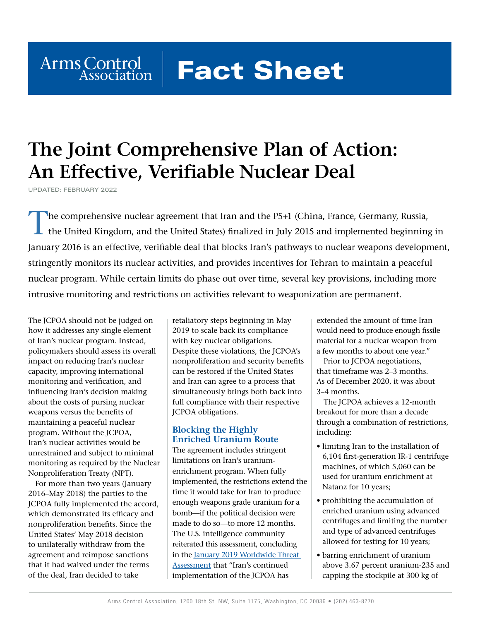# **Fact Sheet**

## **The Joint Comprehensive Plan of Action: An Effective, Verifiable Nuclear Deal**

UPDATED: FEBRUARY 2022

Arms Control

The comprehensive nuclear agreement that Iran and the P5+1 (China, France, Germany, Russia, the United Kingdom, and the United States) finalized in July 2015 and implemented beginning in January 2016 is an effective, verifiable deal that blocks Iran's pathways to nuclear weapons development, stringently monitors its nuclear activities, and provides incentives for Tehran to maintain a peaceful nuclear program. While certain limits do phase out over time, several key provisions, including more intrusive monitoring and restrictions on activities relevant to weaponization are permanent.

The JCPOA should not be judged on how it addresses any single element of Iran's nuclear program. Instead, policymakers should assess its overall impact on reducing Iran's nuclear capacity, improving international monitoring and verification, and influencing Iran's decision making about the costs of pursing nuclear weapons versus the benefits of maintaining a peaceful nuclear program. Without the JCPOA, Iran's nuclear activities would be unrestrained and subject to minimal monitoring as required by the Nuclear Nonproliferation Treaty (NPT).

For more than two years (January 2016–May 2018) the parties to the JCPOA fully implemented the accord, which demonstrated its efficacy and nonproliferation benefits. Since the United States' May 2018 decision to unilaterally withdraw from the agreement and reimpose sanctions that it had waived under the terms of the deal, Iran decided to take

retaliatory steps beginning in May 2019 to scale back its compliance with key nuclear obligations. Despite these violations, the JCPOA's nonproliferation and security benefits can be restored if the United States and Iran can agree to a process that simultaneously brings both back into full compliance with their respective JCPOA obligations.

#### **Blocking the Highly Enriched Uranium Route**

The agreement includes stringent limitations on Iran's uraniumenrichment program. When fully implemented, the restrictions extend the time it would take for Iran to produce enough weapons grade uranium for a bomb—if the political decision were made to do so—to more 12 months. The U.S. intelligence community reiterated this assessment, concluding in the January 2019 Worldwide Threat [Assessment](https://www.dni.gov/files/ODNI/documents/2019-ATA-SFR---SSCI.pdf) that "Iran's continued implementation of the JCPOA has

extended the amount of time Iran would need to produce enough fissile material for a nuclear weapon from a few months to about one year."

Prior to JCPOA negotiations, that timeframe was 2–3 months. As of December 2020, it was about 3–4 months.

The JCPOA achieves a 12-month breakout for more than a decade through a combination of restrictions, including:

- limiting Iran to the installation of 6,104 first-generation IR-1 centrifuge machines, of which 5,060 can be used for uranium enrichment at Natanz for 10 years;
- prohibiting the accumulation of enriched uranium using advanced centrifuges and limiting the number and type of advanced centrifuges allowed for testing for 10 years;
- barring enrichment of uranium above 3.67 percent uranium-235 and capping the stockpile at 300 kg of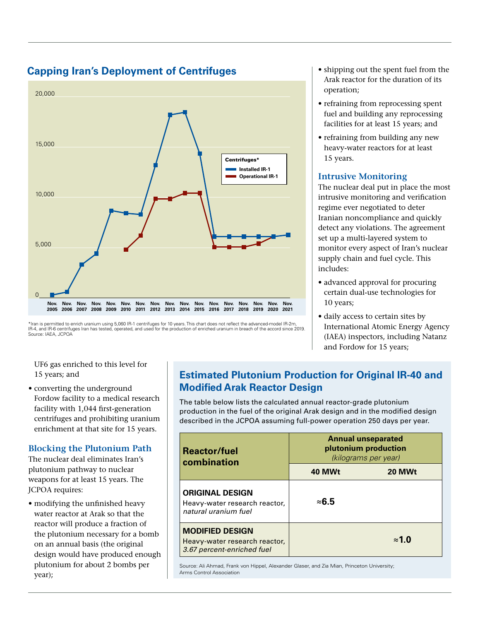#### **Capping Iran's Deployment of Centrifuges**



<sup>\*</sup>Iran is permitted to enrich uranium using 5,060 IR-1 centrifuges for 10 years. This chart does not reflect the advanced-model IR-2m, IR-4, and IR-6 centrifuges Iran has tested, operated, and used for the production of enriched uranium in breach of the accord since 2019. Source: IAEA, JCPOA

UF6 gas enriched to this level for 15 years; and

• converting the underground Fordow facility to a medical research facility with 1,044 first-generation centrifuges and prohibiting uranium enrichment at that site for 15 years.

#### **Blocking the Plutonium Path**

The nuclear deal eliminates Iran's plutonium pathway to nuclear weapons for at least 15 years. The JCPOA requires:

• modifying the unfinished heavy water reactor at Arak so that the reactor will produce a fraction of the plutonium necessary for a bomb on an annual basis (the original design would have produced enough plutonium for about 2 bombs per year);

#### • shipping out the spent fuel from the Arak reactor for the duration of its operation;

- refraining from reprocessing spent fuel and building any reprocessing facilities for at least 15 years; and
- refraining from building any new heavy-water reactors for at least 15 years.

#### **Intrusive Monitoring**

The nuclear deal put in place the most intrusive monitoring and verification regime ever negotiated to deter Iranian noncompliance and quickly detect any violations. The agreement set up a multi-layered system to monitor every aspect of Iran's nuclear supply chain and fuel cycle. This includes:

- advanced approval for procuring certain dual-use technologies for 10 years;
- daily access to certain sites by International Atomic Energy Agency (IAEA) inspectors, including Natanz and Fordow for 15 years;

#### **Estimated Plutonium Production for Original IR-40 and Modified Arak Reactor Design**

The table below lists the calculated annual reactor-grade plutonium production in the fuel of the original Arak design and in the modified design described in the JCPOA assuming full-power operation 250 days per year.

| <b>Reactor/fuel</b><br>combination                                                    | <b>Annual unseparated</b><br>plutonium production<br>(kilograms per year) |               |  |
|---------------------------------------------------------------------------------------|---------------------------------------------------------------------------|---------------|--|
|                                                                                       | 40 MWt                                                                    | 20 MWt        |  |
| <b>ORIGINAL DESIGN</b><br>Heavy-water research reactor,<br>natural uranium fuel       | ≈6.5                                                                      |               |  |
| <b>MODIFIED DESIGN</b><br>Heavy-water research reactor,<br>3.67 percent-enriched fuel |                                                                           | $\approx$ 1.0 |  |

Source: Ali Ahmad, Frank von Hippel, Alexander Glaser, and Zia Mian, Princeton University; Arms Control Association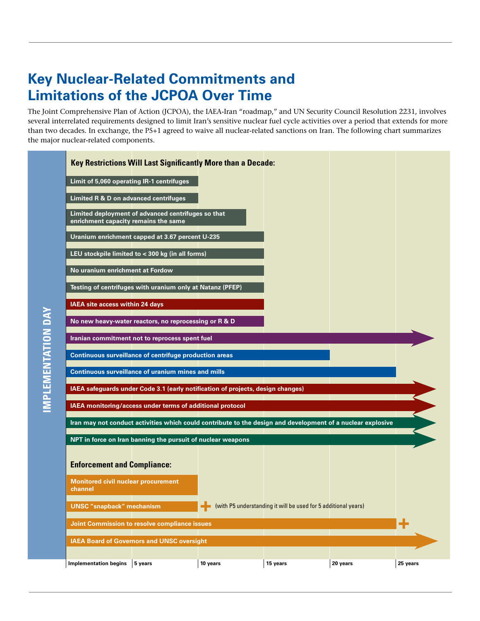### **Key Nuclear-Related Commitments and Limitations of the JCPOA Over Time**

**IMPLEMENTATION DAY**

IMPLEMENTATION DAY

The Joint Comprehensive Plan of Action (JCPOA), the IAEA-Iran "roadmap," and UN Security Council Resolution 2231, involves several interrelated requirements designed to limit Iran's sensitive nuclear fuel cycle activities over a period that extends for more than two decades. In exchange, the P5+1 agreed to waive all nuclear-related sanctions on Iran. The following chart summarizes the major nuclear-related components.

|                                                       | <b>Key Restrictions Will Last Significantly More than a Decade:</b>                                         |          |                                                                |          |          |
|-------------------------------------------------------|-------------------------------------------------------------------------------------------------------------|----------|----------------------------------------------------------------|----------|----------|
| Limit of 5,060 operating IR-1 centrifuges             |                                                                                                             |          |                                                                |          |          |
| Limited R & D on advanced centrifuges                 |                                                                                                             |          |                                                                |          |          |
| enrichment capacity remains the same                  | Limited deployment of advanced centrifuges so that                                                          |          |                                                                |          |          |
|                                                       | Uranium enrichment capped at 3.67 percent U-235                                                             |          |                                                                |          |          |
|                                                       | LEU stockpile limited to < 300 kg (in all forms)                                                            |          |                                                                |          |          |
| No uranium enrichment at Fordow                       |                                                                                                             |          |                                                                |          |          |
|                                                       | Testing of centrifuges with uranium only at Natanz (PFEP)                                                   |          |                                                                |          |          |
| IAEA site access within 24 days                       |                                                                                                             |          |                                                                |          |          |
|                                                       | No new heavy-water reactors, no reprocessing or R & D                                                       |          |                                                                |          |          |
|                                                       | Iranian commitment not to reprocess spent fuel                                                              |          |                                                                |          |          |
|                                                       | <b>Continuous surveillance of centrifuge production areas</b>                                               |          |                                                                |          |          |
|                                                       | <b>Continuous surveillance of uranium mines and mills</b>                                                   |          |                                                                |          |          |
|                                                       | IAEA safeguards under Code 3.1 (early notification of projects, design changes)                             |          |                                                                |          |          |
|                                                       | IAEA monitoring/access under terms of additional protocol                                                   |          |                                                                |          |          |
|                                                       | Iran may not conduct activities which could contribute to the design and development of a nuclear explosive |          |                                                                |          |          |
|                                                       | NPT in force on Iran banning the pursuit of nuclear weapons                                                 |          |                                                                |          |          |
| <b>Enforcement and Compliance:</b>                    |                                                                                                             |          |                                                                |          |          |
| <b>Monitored civil nuclear procurement</b><br>channel |                                                                                                             |          |                                                                |          |          |
| <b>UNSC</b> "snapback" mechanism                      |                                                                                                             |          | (with P5 understanding it will be used for 5 additional years) |          |          |
|                                                       | Joint Commission to resolve compliance issues                                                               |          |                                                                |          | ÷        |
|                                                       | <b>IAEA Board of Governors and UNSC oversight</b>                                                           |          |                                                                |          |          |
| <b>Implementation begins</b>                          | 5 years                                                                                                     | 10 years | 15 years                                                       | 20 years | 25 years |